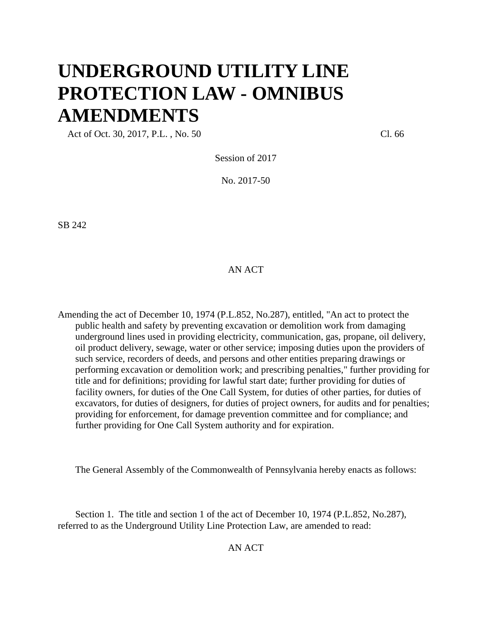# **UNDERGROUND UTILITY LINE PROTECTION LAW - OMNIBUS AMENDMENTS**

Act of Oct. 30, 2017, P.L., No. 50 Cl. 66

Session of 2017

No. 2017-50

SB 242

## AN ACT

Amending the act of December 10, 1974 (P.L.852, No.287), entitled, "An act to protect the public health and safety by preventing excavation or demolition work from damaging underground lines used in providing electricity, communication, gas, propane, oil delivery, oil product delivery, sewage, water or other service; imposing duties upon the providers of such service, recorders of deeds, and persons and other entities preparing drawings or performing excavation or demolition work; and prescribing penalties," further providing for title and for definitions; providing for lawful start date; further providing for duties of facility owners, for duties of the One Call System, for duties of other parties, for duties of excavators, for duties of designers, for duties of project owners, for audits and for penalties; providing for enforcement, for damage prevention committee and for compliance; and further providing for One Call System authority and for expiration.

The General Assembly of the Commonwealth of Pennsylvania hereby enacts as follows:

Section 1. The title and section 1 of the act of December 10, 1974 (P.L.852, No.287), referred to as the Underground Utility Line Protection Law, are amended to read:

AN ACT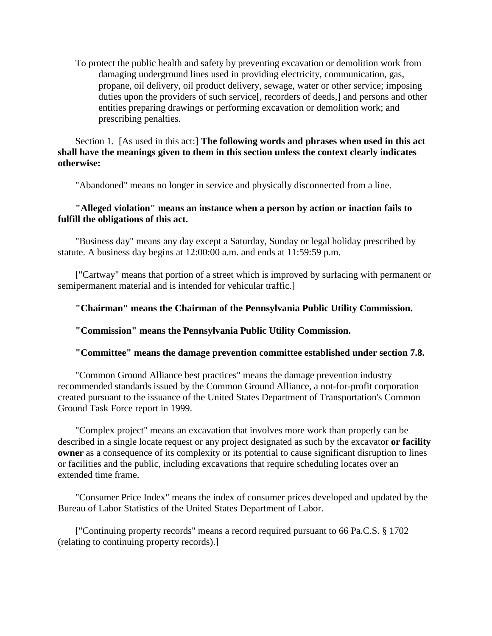To protect the public health and safety by preventing excavation or demolition work from damaging underground lines used in providing electricity, communication, gas, propane, oil delivery, oil product delivery, sewage, water or other service; imposing duties upon the providers of such service[, recorders of deeds,] and persons and other entities preparing drawings or performing excavation or demolition work; and prescribing penalties.

# Section 1. [As used in this act:] **The following words and phrases when used in this act shall have the meanings given to them in this section unless the context clearly indicates otherwise:**

"Abandoned" means no longer in service and physically disconnected from a line.

# **"Alleged violation" means an instance when a person by action or inaction fails to fulfill the obligations of this act.**

"Business day" means any day except a Saturday, Sunday or legal holiday prescribed by statute. A business day begins at 12:00:00 a.m. and ends at 11:59:59 p.m.

["Cartway" means that portion of a street which is improved by surfacing with permanent or semipermanent material and is intended for vehicular traffic.]

# **"Chairman" means the Chairman of the Pennsylvania Public Utility Commission.**

# **"Commission" means the Pennsylvania Public Utility Commission.**

## **"Committee" means the damage prevention committee established under section 7.8.**

"Common Ground Alliance best practices" means the damage prevention industry recommended standards issued by the Common Ground Alliance, a not-for-profit corporation created pursuant to the issuance of the United States Department of Transportation's Common Ground Task Force report in 1999.

"Complex project" means an excavation that involves more work than properly can be described in a single locate request or any project designated as such by the excavator **or facility owner** as a consequence of its complexity or its potential to cause significant disruption to lines or facilities and the public, including excavations that require scheduling locates over an extended time frame.

"Consumer Price Index" means the index of consumer prices developed and updated by the Bureau of Labor Statistics of the United States Department of Labor.

["Continuing property records" means a record required pursuant to 66 Pa.C.S. § 1702 (relating to continuing property records).]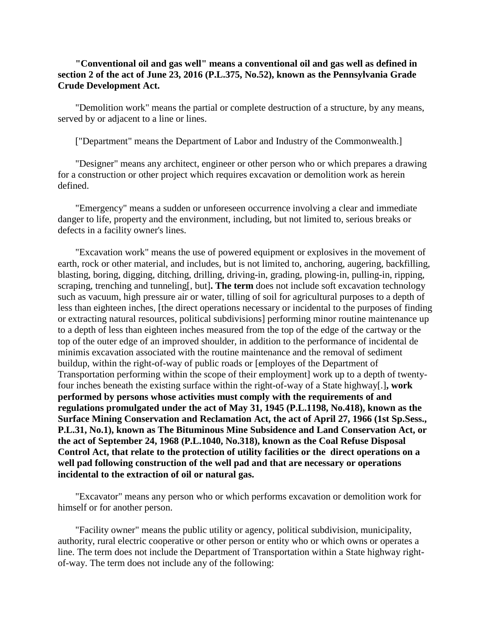# **"Conventional oil and gas well" means a conventional oil and gas well as defined in section 2 of the act of June 23, 2016 (P.L.375, No.52), known as the Pennsylvania Grade Crude Development Act.**

"Demolition work" means the partial or complete destruction of a structure, by any means, served by or adjacent to a line or lines.

["Department" means the Department of Labor and Industry of the Commonwealth.]

"Designer" means any architect, engineer or other person who or which prepares a drawing for a construction or other project which requires excavation or demolition work as herein defined.

"Emergency" means a sudden or unforeseen occurrence involving a clear and immediate danger to life, property and the environment, including, but not limited to, serious breaks or defects in a facility owner's lines.

"Excavation work" means the use of powered equipment or explosives in the movement of earth, rock or other material, and includes, but is not limited to, anchoring, augering, backfilling, blasting, boring, digging, ditching, drilling, driving-in, grading, plowing-in, pulling-in, ripping, scraping, trenching and tunneling[, but]**. The term** does not include soft excavation technology such as vacuum, high pressure air or water, tilling of soil for agricultural purposes to a depth of less than eighteen inches, [the direct operations necessary or incidental to the purposes of finding or extracting natural resources, political subdivisions] performing minor routine maintenance up to a depth of less than eighteen inches measured from the top of the edge of the cartway or the top of the outer edge of an improved shoulder, in addition to the performance of incidental de minimis excavation associated with the routine maintenance and the removal of sediment buildup, within the right-of-way of public roads or [employes of the Department of Transportation performing within the scope of their employment] work up to a depth of twentyfour inches beneath the existing surface within the right-of-way of a State highway[.]**, work performed by persons whose activities must comply with the requirements of and regulations promulgated under the act of May 31, 1945 (P.L.1198, No.418), known as the Surface Mining Conservation and Reclamation Act, the act of April 27, 1966 (1st Sp.Sess., P.L.31, No.1), known as The Bituminous Mine Subsidence and Land Conservation Act, or the act of September 24, 1968 (P.L.1040, No.318), known as the Coal Refuse Disposal Control Act, that relate to the protection of utility facilities or the direct operations on a well pad following construction of the well pad and that are necessary or operations incidental to the extraction of oil or natural gas.**

"Excavator" means any person who or which performs excavation or demolition work for himself or for another person.

"Facility owner" means the public utility or agency, political subdivision, municipality, authority, rural electric cooperative or other person or entity who or which owns or operates a line. The term does not include the Department of Transportation within a State highway rightof-way. The term does not include any of the following: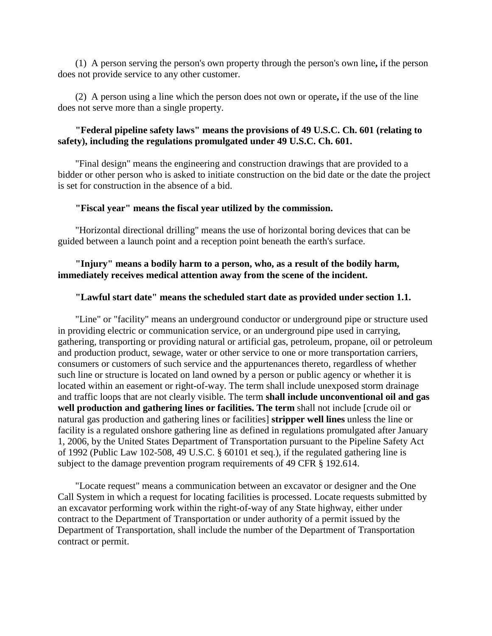(1) A person serving the person's own property through the person's own line**,** if the person does not provide service to any other customer.

(2) A person using a line which the person does not own or operate**,** if the use of the line does not serve more than a single property.

## **"Federal pipeline safety laws" means the provisions of 49 U.S.C. Ch. 601 (relating to safety), including the regulations promulgated under 49 U.S.C. Ch. 601.**

"Final design" means the engineering and construction drawings that are provided to a bidder or other person who is asked to initiate construction on the bid date or the date the project is set for construction in the absence of a bid.

#### **"Fiscal year" means the fiscal year utilized by the commission.**

"Horizontal directional drilling" means the use of horizontal boring devices that can be guided between a launch point and a reception point beneath the earth's surface.

## **"Injury" means a bodily harm to a person, who, as a result of the bodily harm, immediately receives medical attention away from the scene of the incident.**

#### **"Lawful start date" means the scheduled start date as provided under section 1.1.**

"Line" or "facility" means an underground conductor or underground pipe or structure used in providing electric or communication service, or an underground pipe used in carrying, gathering, transporting or providing natural or artificial gas, petroleum, propane, oil or petroleum and production product, sewage, water or other service to one or more transportation carriers, consumers or customers of such service and the appurtenances thereto, regardless of whether such line or structure is located on land owned by a person or public agency or whether it is located within an easement or right-of-way. The term shall include unexposed storm drainage and traffic loops that are not clearly visible. The term **shall include unconventional oil and gas well production and gathering lines or facilities. The term** shall not include [crude oil or natural gas production and gathering lines or facilities] **stripper well lines** unless the line or facility is a regulated onshore gathering line as defined in regulations promulgated after January 1, 2006, by the United States Department of Transportation pursuant to the Pipeline Safety Act of 1992 (Public Law 102-508, 49 U.S.C. § 60101 et seq.), if the regulated gathering line is subject to the damage prevention program requirements of 49 CFR § 192.614.

"Locate request" means a communication between an excavator or designer and the One Call System in which a request for locating facilities is processed. Locate requests submitted by an excavator performing work within the right-of-way of any State highway, either under contract to the Department of Transportation or under authority of a permit issued by the Department of Transportation, shall include the number of the Department of Transportation contract or permit.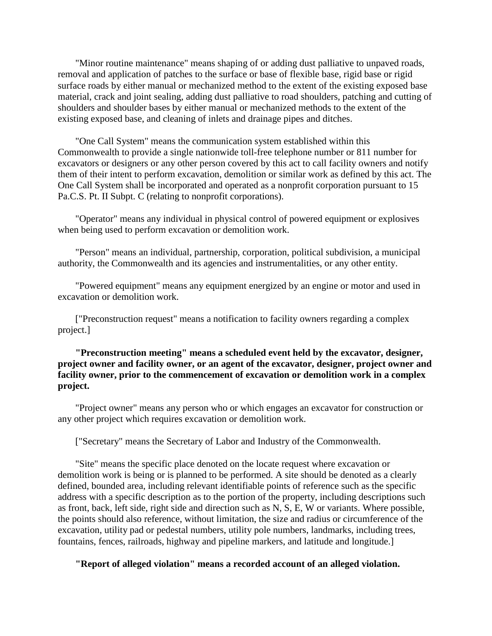"Minor routine maintenance" means shaping of or adding dust palliative to unpaved roads, removal and application of patches to the surface or base of flexible base, rigid base or rigid surface roads by either manual or mechanized method to the extent of the existing exposed base material, crack and joint sealing, adding dust palliative to road shoulders, patching and cutting of shoulders and shoulder bases by either manual or mechanized methods to the extent of the existing exposed base, and cleaning of inlets and drainage pipes and ditches.

"One Call System" means the communication system established within this Commonwealth to provide a single nationwide toll-free telephone number or 811 number for excavators or designers or any other person covered by this act to call facility owners and notify them of their intent to perform excavation, demolition or similar work as defined by this act. The One Call System shall be incorporated and operated as a nonprofit corporation pursuant to 15 Pa.C.S. Pt. II Subpt. C (relating to nonprofit corporations).

"Operator" means any individual in physical control of powered equipment or explosives when being used to perform excavation or demolition work.

"Person" means an individual, partnership, corporation, political subdivision, a municipal authority, the Commonwealth and its agencies and instrumentalities, or any other entity.

"Powered equipment" means any equipment energized by an engine or motor and used in excavation or demolition work.

["Preconstruction request" means a notification to facility owners regarding a complex project.]

**"Preconstruction meeting" means a scheduled event held by the excavator, designer, project owner and facility owner, or an agent of the excavator, designer, project owner and facility owner, prior to the commencement of excavation or demolition work in a complex project.** 

"Project owner" means any person who or which engages an excavator for construction or any other project which requires excavation or demolition work.

["Secretary" means the Secretary of Labor and Industry of the Commonwealth.

"Site" means the specific place denoted on the locate request where excavation or demolition work is being or is planned to be performed. A site should be denoted as a clearly defined, bounded area, including relevant identifiable points of reference such as the specific address with a specific description as to the portion of the property, including descriptions such as front, back, left side, right side and direction such as N, S, E, W or variants. Where possible, the points should also reference, without limitation, the size and radius or circumference of the excavation, utility pad or pedestal numbers, utility pole numbers, landmarks, including trees, fountains, fences, railroads, highway and pipeline markers, and latitude and longitude.]

**"Report of alleged violation" means a recorded account of an alleged violation.**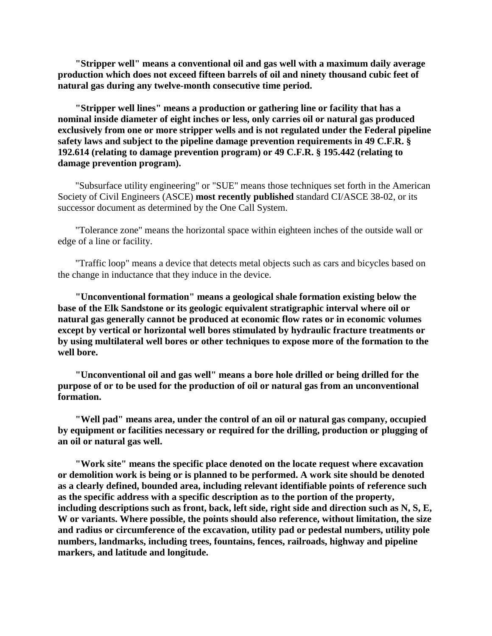**"Stripper well" means a conventional oil and gas well with a maximum daily average production which does not exceed fifteen barrels of oil and ninety thousand cubic feet of natural gas during any twelve-month consecutive time period.** 

**"Stripper well lines" means a production or gathering line or facility that has a nominal inside diameter of eight inches or less, only carries oil or natural gas produced exclusively from one or more stripper wells and is not regulated under the Federal pipeline safety laws and subject to the pipeline damage prevention requirements in 49 C.F.R. § 192.614 (relating to damage prevention program) or 49 C.F.R. § 195.442 (relating to damage prevention program).** 

"Subsurface utility engineering" or "SUE" means those techniques set forth in the American Society of Civil Engineers (ASCE) **most recently published** standard CI/ASCE 38-02, or its successor document as determined by the One Call System.

"Tolerance zone" means the horizontal space within eighteen inches of the outside wall or edge of a line or facility.

"Traffic loop" means a device that detects metal objects such as cars and bicycles based on the change in inductance that they induce in the device.

**"Unconventional formation" means a geological shale formation existing below the base of the Elk Sandstone or its geologic equivalent stratigraphic interval where oil or natural gas generally cannot be produced at economic flow rates or in economic volumes except by vertical or horizontal well bores stimulated by hydraulic fracture treatments or by using multilateral well bores or other techniques to expose more of the formation to the well bore.** 

**"Unconventional oil and gas well" means a bore hole drilled or being drilled for the purpose of or to be used for the production of oil or natural gas from an unconventional formation.** 

**"Well pad" means area, under the control of an oil or natural gas company, occupied by equipment or facilities necessary or required for the drilling, production or plugging of an oil or natural gas well.** 

**"Work site" means the specific place denoted on the locate request where excavation or demolition work is being or is planned to be performed. A work site should be denoted as a clearly defined, bounded area, including relevant identifiable points of reference such as the specific address with a specific description as to the portion of the property, including descriptions such as front, back, left side, right side and direction such as N, S, E, W or variants. Where possible, the points should also reference, without limitation, the size and radius or circumference of the excavation, utility pad or pedestal numbers, utility pole numbers, landmarks, including trees, fountains, fences, railroads, highway and pipeline markers, and latitude and longitude.**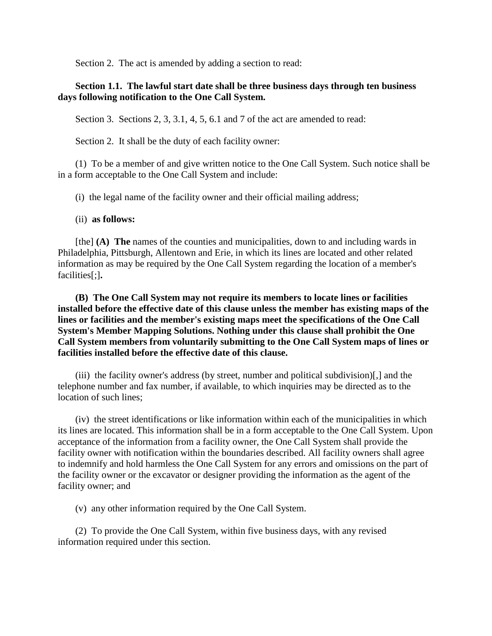Section 2. The act is amended by adding a section to read:

# **Section 1.1. The lawful start date shall be three business days through ten business days following notification to the One Call System.**

Section 3. Sections 2, 3, 3.1, 4, 5, 6.1 and 7 of the act are amended to read:

Section 2. It shall be the duty of each facility owner:

(1) To be a member of and give written notice to the One Call System. Such notice shall be in a form acceptable to the One Call System and include:

(i) the legal name of the facility owner and their official mailing address;

(ii) **as follows:**

[the] **(A) The** names of the counties and municipalities, down to and including wards in Philadelphia, Pittsburgh, Allentown and Erie, in which its lines are located and other related information as may be required by the One Call System regarding the location of a member's facilities[;]**.**

**(B) The One Call System may not require its members to locate lines or facilities installed before the effective date of this clause unless the member has existing maps of the lines or facilities and the member's existing maps meet the specifications of the One Call System's Member Mapping Solutions. Nothing under this clause shall prohibit the One Call System members from voluntarily submitting to the One Call System maps of lines or facilities installed before the effective date of this clause.** 

(iii) the facility owner's address (by street, number and political subdivision)[,] and the telephone number and fax number, if available, to which inquiries may be directed as to the location of such lines;

(iv) the street identifications or like information within each of the municipalities in which its lines are located. This information shall be in a form acceptable to the One Call System. Upon acceptance of the information from a facility owner, the One Call System shall provide the facility owner with notification within the boundaries described. All facility owners shall agree to indemnify and hold harmless the One Call System for any errors and omissions on the part of the facility owner or the excavator or designer providing the information as the agent of the facility owner; and

(v) any other information required by the One Call System.

(2) To provide the One Call System, within five business days, with any revised information required under this section.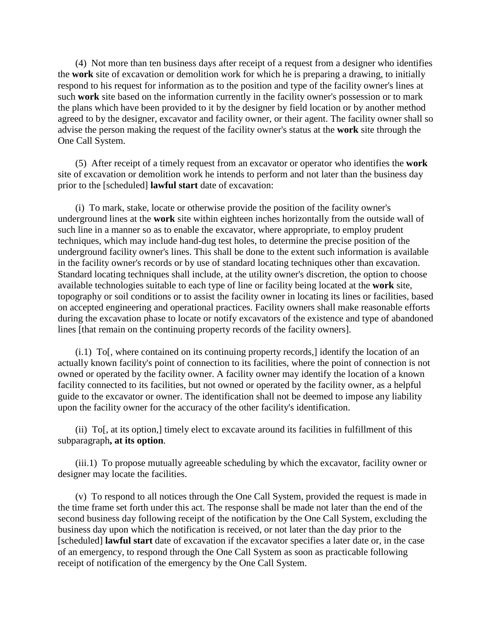(4) Not more than ten business days after receipt of a request from a designer who identifies the **work** site of excavation or demolition work for which he is preparing a drawing, to initially respond to his request for information as to the position and type of the facility owner's lines at such **work** site based on the information currently in the facility owner's possession or to mark the plans which have been provided to it by the designer by field location or by another method agreed to by the designer, excavator and facility owner, or their agent. The facility owner shall so advise the person making the request of the facility owner's status at the **work** site through the One Call System.

(5) After receipt of a timely request from an excavator or operator who identifies the **work** site of excavation or demolition work he intends to perform and not later than the business day prior to the [scheduled] **lawful start** date of excavation:

(i) To mark, stake, locate or otherwise provide the position of the facility owner's underground lines at the **work** site within eighteen inches horizontally from the outside wall of such line in a manner so as to enable the excavator, where appropriate, to employ prudent techniques, which may include hand-dug test holes, to determine the precise position of the underground facility owner's lines. This shall be done to the extent such information is available in the facility owner's records or by use of standard locating techniques other than excavation. Standard locating techniques shall include, at the utility owner's discretion, the option to choose available technologies suitable to each type of line or facility being located at the **work** site, topography or soil conditions or to assist the facility owner in locating its lines or facilities, based on accepted engineering and operational practices. Facility owners shall make reasonable efforts during the excavation phase to locate or notify excavators of the existence and type of abandoned lines [that remain on the continuing property records of the facility owners].

(i.1) To[, where contained on its continuing property records,] identify the location of an actually known facility's point of connection to its facilities, where the point of connection is not owned or operated by the facility owner. A facility owner may identify the location of a known facility connected to its facilities, but not owned or operated by the facility owner, as a helpful guide to the excavator or owner. The identification shall not be deemed to impose any liability upon the facility owner for the accuracy of the other facility's identification.

(ii) To[, at its option,] timely elect to excavate around its facilities in fulfillment of this subparagraph**, at its option**.

(iii.1) To propose mutually agreeable scheduling by which the excavator, facility owner or designer may locate the facilities.

(v) To respond to all notices through the One Call System, provided the request is made in the time frame set forth under this act. The response shall be made not later than the end of the second business day following receipt of the notification by the One Call System, excluding the business day upon which the notification is received, or not later than the day prior to the [scheduled] **lawful start** date of excavation if the excavator specifies a later date or, in the case of an emergency, to respond through the One Call System as soon as practicable following receipt of notification of the emergency by the One Call System.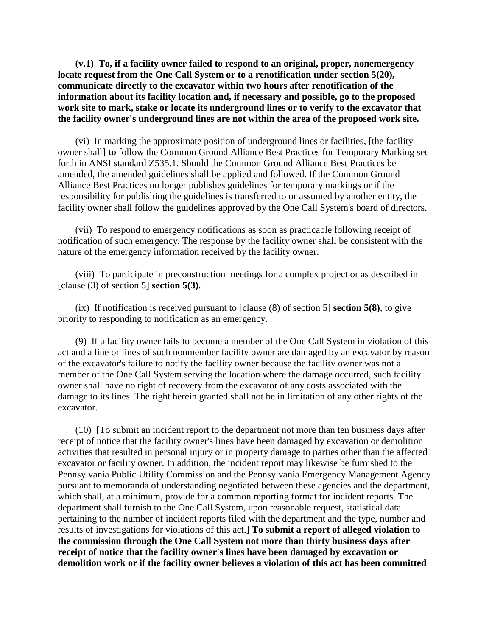**(v.1) To, if a facility owner failed to respond to an original, proper, nonemergency locate request from the One Call System or to a renotification under section 5(20), communicate directly to the excavator within two hours after renotification of the information about its facility location and, if necessary and possible, go to the proposed work site to mark, stake or locate its underground lines or to verify to the excavator that the facility owner's underground lines are not within the area of the proposed work site.** 

(vi) In marking the approximate position of underground lines or facilities, [the facility owner shall] **to** follow the Common Ground Alliance Best Practices for Temporary Marking set forth in ANSI standard Z535.1. Should the Common Ground Alliance Best Practices be amended, the amended guidelines shall be applied and followed. If the Common Ground Alliance Best Practices no longer publishes guidelines for temporary markings or if the responsibility for publishing the guidelines is transferred to or assumed by another entity, the facility owner shall follow the guidelines approved by the One Call System's board of directors.

(vii) To respond to emergency notifications as soon as practicable following receipt of notification of such emergency. The response by the facility owner shall be consistent with the nature of the emergency information received by the facility owner.

(viii) To participate in preconstruction meetings for a complex project or as described in [clause (3) of section 5] **section 5(3)**.

(ix) If notification is received pursuant to [clause (8) of section 5] **section 5(8)**, to give priority to responding to notification as an emergency.

(9) If a facility owner fails to become a member of the One Call System in violation of this act and a line or lines of such nonmember facility owner are damaged by an excavator by reason of the excavator's failure to notify the facility owner because the facility owner was not a member of the One Call System serving the location where the damage occurred, such facility owner shall have no right of recovery from the excavator of any costs associated with the damage to its lines. The right herein granted shall not be in limitation of any other rights of the excavator.

(10) [To submit an incident report to the department not more than ten business days after receipt of notice that the facility owner's lines have been damaged by excavation or demolition activities that resulted in personal injury or in property damage to parties other than the affected excavator or facility owner. In addition, the incident report may likewise be furnished to the Pennsylvania Public Utility Commission and the Pennsylvania Emergency Management Agency pursuant to memoranda of understanding negotiated between these agencies and the department, which shall, at a minimum, provide for a common reporting format for incident reports. The department shall furnish to the One Call System, upon reasonable request, statistical data pertaining to the number of incident reports filed with the department and the type, number and results of investigations for violations of this act.] **To submit a report of alleged violation to the commission through the One Call System not more than thirty business days after receipt of notice that the facility owner's lines have been damaged by excavation or demolition work or if the facility owner believes a violation of this act has been committed**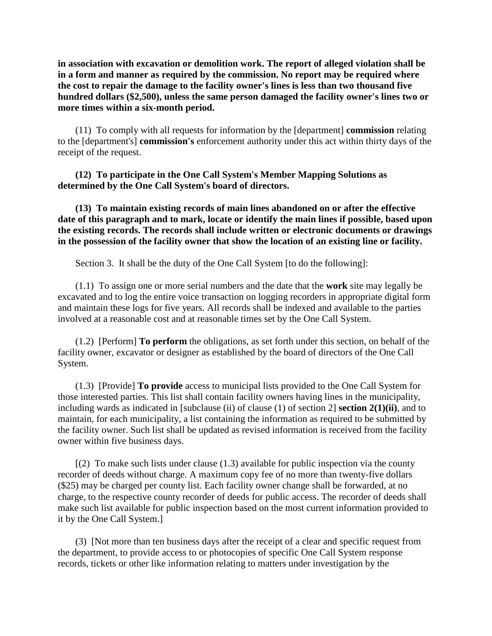**in association with excavation or demolition work. The report of alleged violation shall be in a form and manner as required by the commission. No report may be required where the cost to repair the damage to the facility owner's lines is less than two thousand five hundred dollars (\$2,500), unless the same person damaged the facility owner's lines two or more times within a six-month period.**

(11) To comply with all requests for information by the [department] **commission** relating to the [department's] **commission's** enforcement authority under this act within thirty days of the receipt of the request.

**(12) To participate in the One Call System's Member Mapping Solutions as determined by the One Call System's board of directors.** 

**(13) To maintain existing records of main lines abandoned on or after the effective date of this paragraph and to mark, locate or identify the main lines if possible, based upon the existing records. The records shall include written or electronic documents or drawings in the possession of the facility owner that show the location of an existing line or facility.** 

Section 3. It shall be the duty of the One Call System [to do the following]:

(1.1) To assign one or more serial numbers and the date that the **work** site may legally be excavated and to log the entire voice transaction on logging recorders in appropriate digital form and maintain these logs for five years. All records shall be indexed and available to the parties involved at a reasonable cost and at reasonable times set by the One Call System.

(1.2) [Perform] **To perform** the obligations, as set forth under this section, on behalf of the facility owner, excavator or designer as established by the board of directors of the One Call System.

(1.3) [Provide] **To provide** access to municipal lists provided to the One Call System for those interested parties. This list shall contain facility owners having lines in the municipality, including wards as indicated in [subclause (ii) of clause (1) of section 2] **section 2(1)(ii)**, and to maintain, for each municipality, a list containing the information as required to be submitted by the facility owner. Such list shall be updated as revised information is received from the facility owner within five business days.

 $(2)$  To make such lists under clause  $(1.3)$  available for public inspection via the county recorder of deeds without charge. A maximum copy fee of no more than twenty-five dollars (\$25) may be charged per county list. Each facility owner change shall be forwarded, at no charge, to the respective county recorder of deeds for public access. The recorder of deeds shall make such list available for public inspection based on the most current information provided to it by the One Call System.]

(3) [Not more than ten business days after the receipt of a clear and specific request from the department, to provide access to or photocopies of specific One Call System response records, tickets or other like information relating to matters under investigation by the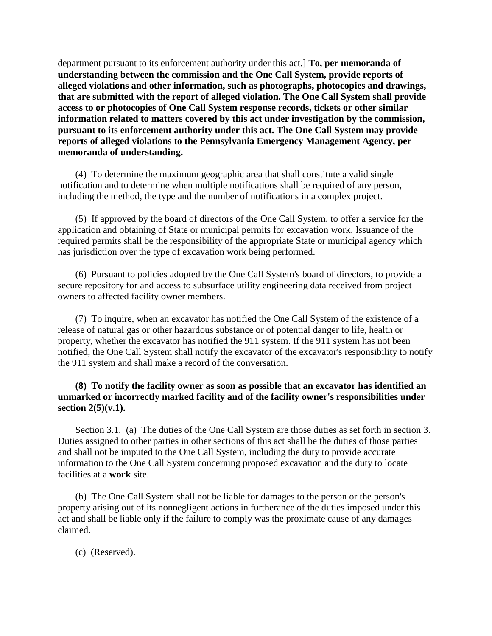department pursuant to its enforcement authority under this act.] **To, per memoranda of understanding between the commission and the One Call System, provide reports of alleged violations and other information, such as photographs, photocopies and drawings, that are submitted with the report of alleged violation. The One Call System shall provide access to or photocopies of One Call System response records, tickets or other similar information related to matters covered by this act under investigation by the commission, pursuant to its enforcement authority under this act. The One Call System may provide reports of alleged violations to the Pennsylvania Emergency Management Agency, per memoranda of understanding.**

(4) To determine the maximum geographic area that shall constitute a valid single notification and to determine when multiple notifications shall be required of any person, including the method, the type and the number of notifications in a complex project.

(5) If approved by the board of directors of the One Call System, to offer a service for the application and obtaining of State or municipal permits for excavation work. Issuance of the required permits shall be the responsibility of the appropriate State or municipal agency which has jurisdiction over the type of excavation work being performed.

(6) Pursuant to policies adopted by the One Call System's board of directors, to provide a secure repository for and access to subsurface utility engineering data received from project owners to affected facility owner members.

(7) To inquire, when an excavator has notified the One Call System of the existence of a release of natural gas or other hazardous substance or of potential danger to life, health or property, whether the excavator has notified the 911 system. If the 911 system has not been notified, the One Call System shall notify the excavator of the excavator's responsibility to notify the 911 system and shall make a record of the conversation.

# **(8) To notify the facility owner as soon as possible that an excavator has identified an unmarked or incorrectly marked facility and of the facility owner's responsibilities under section 2(5)(v.1).**

Section 3.1. (a) The duties of the One Call System are those duties as set forth in section 3. Duties assigned to other parties in other sections of this act shall be the duties of those parties and shall not be imputed to the One Call System, including the duty to provide accurate information to the One Call System concerning proposed excavation and the duty to locate facilities at a **work** site.

(b) The One Call System shall not be liable for damages to the person or the person's property arising out of its nonnegligent actions in furtherance of the duties imposed under this act and shall be liable only if the failure to comply was the proximate cause of any damages claimed.

(c) (Reserved).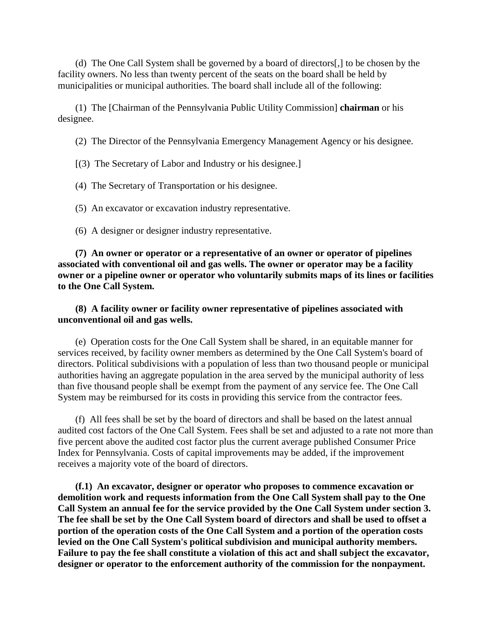(d) The One Call System shall be governed by a board of directors[,] to be chosen by the facility owners. No less than twenty percent of the seats on the board shall be held by municipalities or municipal authorities. The board shall include all of the following:

(1) The [Chairman of the Pennsylvania Public Utility Commission] **chairman** or his designee.

(2) The Director of the Pennsylvania Emergency Management Agency or his designee.

[(3) The Secretary of Labor and Industry or his designee.]

(4) The Secretary of Transportation or his designee.

(5) An excavator or excavation industry representative.

(6) A designer or designer industry representative.

**(7) An owner or operator or a representative of an owner or operator of pipelines associated with conventional oil and gas wells. The owner or operator may be a facility owner or a pipeline owner or operator who voluntarily submits maps of its lines or facilities to the One Call System.**

## **(8) A facility owner or facility owner representative of pipelines associated with unconventional oil and gas wells.**

(e) Operation costs for the One Call System shall be shared, in an equitable manner for services received, by facility owner members as determined by the One Call System's board of directors. Political subdivisions with a population of less than two thousand people or municipal authorities having an aggregate population in the area served by the municipal authority of less than five thousand people shall be exempt from the payment of any service fee. The One Call System may be reimbursed for its costs in providing this service from the contractor fees.

(f) All fees shall be set by the board of directors and shall be based on the latest annual audited cost factors of the One Call System. Fees shall be set and adjusted to a rate not more than five percent above the audited cost factor plus the current average published Consumer Price Index for Pennsylvania. Costs of capital improvements may be added, if the improvement receives a majority vote of the board of directors.

**(f.1) An excavator, designer or operator who proposes to commence excavation or demolition work and requests information from the One Call System shall pay to the One Call System an annual fee for the service provided by the One Call System under section 3. The fee shall be set by the One Call System board of directors and shall be used to offset a portion of the operation costs of the One Call System and a portion of the operation costs levied on the One Call System's political subdivision and municipal authority members. Failure to pay the fee shall constitute a violation of this act and shall subject the excavator, designer or operator to the enforcement authority of the commission for the nonpayment.**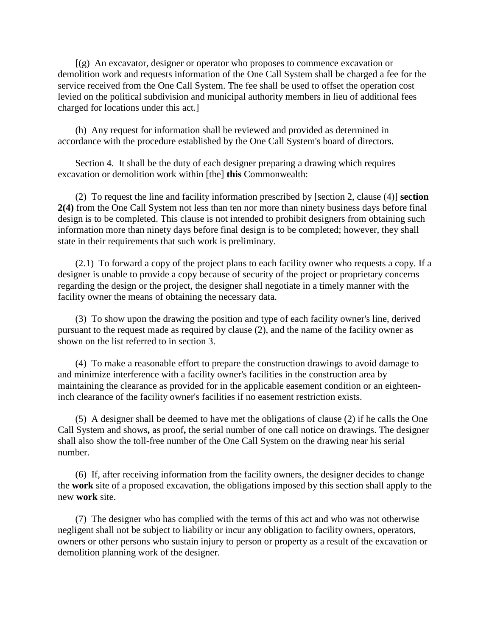[(g) An excavator, designer or operator who proposes to commence excavation or demolition work and requests information of the One Call System shall be charged a fee for the service received from the One Call System. The fee shall be used to offset the operation cost levied on the political subdivision and municipal authority members in lieu of additional fees charged for locations under this act.]

(h) Any request for information shall be reviewed and provided as determined in accordance with the procedure established by the One Call System's board of directors.

Section 4. It shall be the duty of each designer preparing a drawing which requires excavation or demolition work within [the] **this** Commonwealth:

(2) To request the line and facility information prescribed by [section 2, clause (4)] **section 2(4)** from the One Call System not less than ten nor more than ninety business days before final design is to be completed. This clause is not intended to prohibit designers from obtaining such information more than ninety days before final design is to be completed; however, they shall state in their requirements that such work is preliminary.

(2.1) To forward a copy of the project plans to each facility owner who requests a copy. If a designer is unable to provide a copy because of security of the project or proprietary concerns regarding the design or the project, the designer shall negotiate in a timely manner with the facility owner the means of obtaining the necessary data.

(3) To show upon the drawing the position and type of each facility owner's line, derived pursuant to the request made as required by clause (2), and the name of the facility owner as shown on the list referred to in section 3.

(4) To make a reasonable effort to prepare the construction drawings to avoid damage to and minimize interference with a facility owner's facilities in the construction area by maintaining the clearance as provided for in the applicable easement condition or an eighteeninch clearance of the facility owner's facilities if no easement restriction exists.

(5) A designer shall be deemed to have met the obligations of clause (2) if he calls the One Call System and shows**,** as proof**,** the serial number of one call notice on drawings. The designer shall also show the toll-free number of the One Call System on the drawing near his serial number.

(6) If, after receiving information from the facility owners, the designer decides to change the **work** site of a proposed excavation, the obligations imposed by this section shall apply to the new **work** site.

(7) The designer who has complied with the terms of this act and who was not otherwise negligent shall not be subject to liability or incur any obligation to facility owners, operators, owners or other persons who sustain injury to person or property as a result of the excavation or demolition planning work of the designer.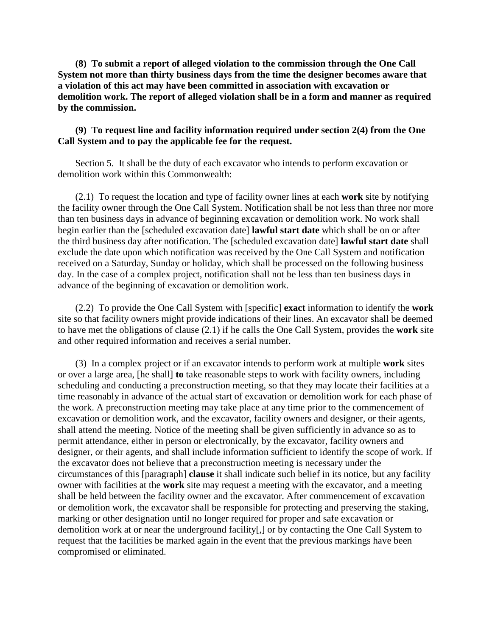**(8) To submit a report of alleged violation to the commission through the One Call System not more than thirty business days from the time the designer becomes aware that a violation of this act may have been committed in association with excavation or demolition work. The report of alleged violation shall be in a form and manner as required by the commission.** 

## **(9) To request line and facility information required under section 2(4) from the One Call System and to pay the applicable fee for the request.**

Section 5. It shall be the duty of each excavator who intends to perform excavation or demolition work within this Commonwealth:

(2.1) To request the location and type of facility owner lines at each **work** site by notifying the facility owner through the One Call System. Notification shall be not less than three nor more than ten business days in advance of beginning excavation or demolition work. No work shall begin earlier than the [scheduled excavation date] **lawful start date** which shall be on or after the third business day after notification. The [scheduled excavation date] **lawful start date** shall exclude the date upon which notification was received by the One Call System and notification received on a Saturday, Sunday or holiday, which shall be processed on the following business day. In the case of a complex project, notification shall not be less than ten business days in advance of the beginning of excavation or demolition work.

(2.2) To provide the One Call System with [specific] **exact** information to identify the **work** site so that facility owners might provide indications of their lines. An excavator shall be deemed to have met the obligations of clause (2.1) if he calls the One Call System, provides the **work** site and other required information and receives a serial number.

(3) In a complex project or if an excavator intends to perform work at multiple **work** sites or over a large area, [he shall] **to** take reasonable steps to work with facility owners, including scheduling and conducting a preconstruction meeting, so that they may locate their facilities at a time reasonably in advance of the actual start of excavation or demolition work for each phase of the work. A preconstruction meeting may take place at any time prior to the commencement of excavation or demolition work, and the excavator, facility owners and designer, or their agents, shall attend the meeting. Notice of the meeting shall be given sufficiently in advance so as to permit attendance, either in person or electronically, by the excavator, facility owners and designer, or their agents, and shall include information sufficient to identify the scope of work. If the excavator does not believe that a preconstruction meeting is necessary under the circumstances of this [paragraph] **clause** it shall indicate such belief in its notice, but any facility owner with facilities at the **work** site may request a meeting with the excavator, and a meeting shall be held between the facility owner and the excavator. After commencement of excavation or demolition work, the excavator shall be responsible for protecting and preserving the staking, marking or other designation until no longer required for proper and safe excavation or demolition work at or near the underground facility[,] or by contacting the One Call System to request that the facilities be marked again in the event that the previous markings have been compromised or eliminated.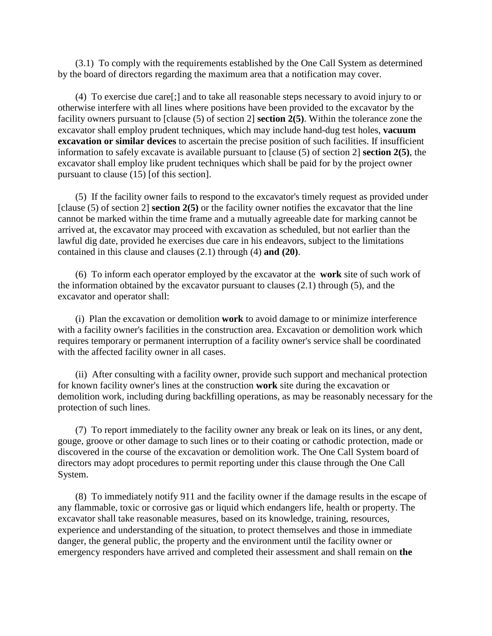(3.1) To comply with the requirements established by the One Call System as determined by the board of directors regarding the maximum area that a notification may cover.

(4) To exercise due care[;] and to take all reasonable steps necessary to avoid injury to or otherwise interfere with all lines where positions have been provided to the excavator by the facility owners pursuant to [clause (5) of section 2] **section 2(5)**. Within the tolerance zone the excavator shall employ prudent techniques, which may include hand-dug test holes, **vacuum excavation or similar devices** to ascertain the precise position of such facilities. If insufficient information to safely excavate is available pursuant to [clause (5) of section 2] **section 2(5)**, the excavator shall employ like prudent techniques which shall be paid for by the project owner pursuant to clause (15) [of this section].

(5) If the facility owner fails to respond to the excavator's timely request as provided under [clause (5) of section 2] **section 2(5)** or the facility owner notifies the excavator that the line cannot be marked within the time frame and a mutually agreeable date for marking cannot be arrived at, the excavator may proceed with excavation as scheduled, but not earlier than the lawful dig date, provided he exercises due care in his endeavors, subject to the limitations contained in this clause and clauses (2.1) through (4) **and (20)**.

(6) To inform each operator employed by the excavator at the **work** site of such work of the information obtained by the excavator pursuant to clauses (2.1) through (5), and the excavator and operator shall:

(i) Plan the excavation or demolition **work** to avoid damage to or minimize interference with a facility owner's facilities in the construction area. Excavation or demolition work which requires temporary or permanent interruption of a facility owner's service shall be coordinated with the affected facility owner in all cases.

(ii) After consulting with a facility owner, provide such support and mechanical protection for known facility owner's lines at the construction **work** site during the excavation or demolition work, including during backfilling operations, as may be reasonably necessary for the protection of such lines.

(7) To report immediately to the facility owner any break or leak on its lines, or any dent, gouge, groove or other damage to such lines or to their coating or cathodic protection, made or discovered in the course of the excavation or demolition work. The One Call System board of directors may adopt procedures to permit reporting under this clause through the One Call System.

(8) To immediately notify 911 and the facility owner if the damage results in the escape of any flammable, toxic or corrosive gas or liquid which endangers life, health or property. The excavator shall take reasonable measures, based on its knowledge, training, resources, experience and understanding of the situation, to protect themselves and those in immediate danger, the general public, the property and the environment until the facility owner or emergency responders have arrived and completed their assessment and shall remain on **the**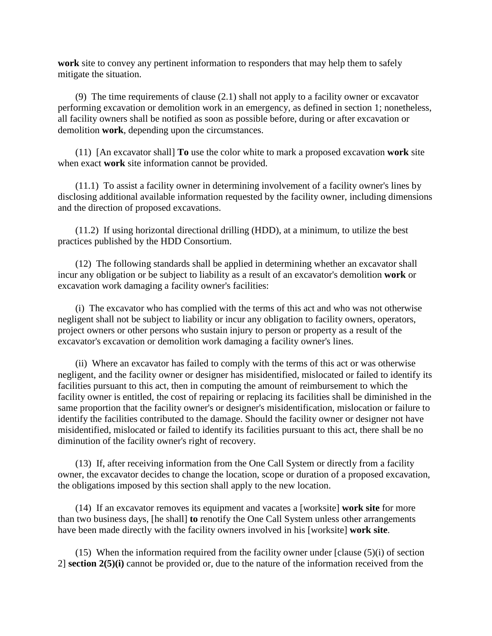**work** site to convey any pertinent information to responders that may help them to safely mitigate the situation.

(9) The time requirements of clause (2.1) shall not apply to a facility owner or excavator performing excavation or demolition work in an emergency, as defined in section 1; nonetheless, all facility owners shall be notified as soon as possible before, during or after excavation or demolition **work**, depending upon the circumstances.

(11) [An excavator shall] **To** use the color white to mark a proposed excavation **work** site when exact **work** site information cannot be provided.

(11.1) To assist a facility owner in determining involvement of a facility owner's lines by disclosing additional available information requested by the facility owner, including dimensions and the direction of proposed excavations.

(11.2) If using horizontal directional drilling (HDD), at a minimum, to utilize the best practices published by the HDD Consortium.

(12) The following standards shall be applied in determining whether an excavator shall incur any obligation or be subject to liability as a result of an excavator's demolition **work** or excavation work damaging a facility owner's facilities:

(i) The excavator who has complied with the terms of this act and who was not otherwise negligent shall not be subject to liability or incur any obligation to facility owners, operators, project owners or other persons who sustain injury to person or property as a result of the excavator's excavation or demolition work damaging a facility owner's lines.

(ii) Where an excavator has failed to comply with the terms of this act or was otherwise negligent, and the facility owner or designer has misidentified, mislocated or failed to identify its facilities pursuant to this act, then in computing the amount of reimbursement to which the facility owner is entitled, the cost of repairing or replacing its facilities shall be diminished in the same proportion that the facility owner's or designer's misidentification, mislocation or failure to identify the facilities contributed to the damage. Should the facility owner or designer not have misidentified, mislocated or failed to identify its facilities pursuant to this act, there shall be no diminution of the facility owner's right of recovery.

(13) If, after receiving information from the One Call System or directly from a facility owner, the excavator decides to change the location, scope or duration of a proposed excavation, the obligations imposed by this section shall apply to the new location.

(14) If an excavator removes its equipment and vacates a [worksite] **work site** for more than two business days, [he shall] **to** renotify the One Call System unless other arrangements have been made directly with the facility owners involved in his [worksite] **work site**.

(15) When the information required from the facility owner under [clause (5)(i) of section 2] **section 2(5)(i)** cannot be provided or, due to the nature of the information received from the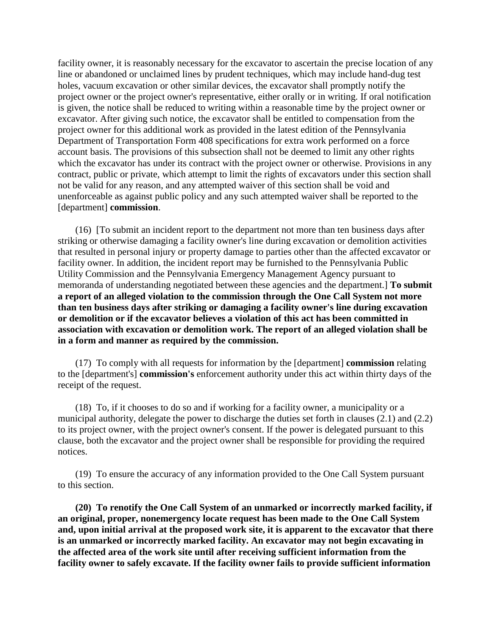facility owner, it is reasonably necessary for the excavator to ascertain the precise location of any line or abandoned or unclaimed lines by prudent techniques, which may include hand-dug test holes, vacuum excavation or other similar devices, the excavator shall promptly notify the project owner or the project owner's representative, either orally or in writing. If oral notification is given, the notice shall be reduced to writing within a reasonable time by the project owner or excavator. After giving such notice, the excavator shall be entitled to compensation from the project owner for this additional work as provided in the latest edition of the Pennsylvania Department of Transportation Form 408 specifications for extra work performed on a force account basis. The provisions of this subsection shall not be deemed to limit any other rights which the excavator has under its contract with the project owner or otherwise. Provisions in any contract, public or private, which attempt to limit the rights of excavators under this section shall not be valid for any reason, and any attempted waiver of this section shall be void and unenforceable as against public policy and any such attempted waiver shall be reported to the [department] **commission**.

(16) [To submit an incident report to the department not more than ten business days after striking or otherwise damaging a facility owner's line during excavation or demolition activities that resulted in personal injury or property damage to parties other than the affected excavator or facility owner. In addition, the incident report may be furnished to the Pennsylvania Public Utility Commission and the Pennsylvania Emergency Management Agency pursuant to memoranda of understanding negotiated between these agencies and the department.] **To submit a report of an alleged violation to the commission through the One Call System not more than ten business days after striking or damaging a facility owner's line during excavation or demolition or if the excavator believes a violation of this act has been committed in association with excavation or demolition work. The report of an alleged violation shall be in a form and manner as required by the commission.**

(17) To comply with all requests for information by the [department] **commission** relating to the [department's] **commission's** enforcement authority under this act within thirty days of the receipt of the request.

(18) To, if it chooses to do so and if working for a facility owner, a municipality or a municipal authority, delegate the power to discharge the duties set forth in clauses (2.1) and (2.2) to its project owner, with the project owner's consent. If the power is delegated pursuant to this clause, both the excavator and the project owner shall be responsible for providing the required notices.

(19) To ensure the accuracy of any information provided to the One Call System pursuant to this section.

**(20) To renotify the One Call System of an unmarked or incorrectly marked facility, if an original, proper, nonemergency locate request has been made to the One Call System and, upon initial arrival at the proposed work site, it is apparent to the excavator that there is an unmarked or incorrectly marked facility. An excavator may not begin excavating in the affected area of the work site until after receiving sufficient information from the facility owner to safely excavate. If the facility owner fails to provide sufficient information**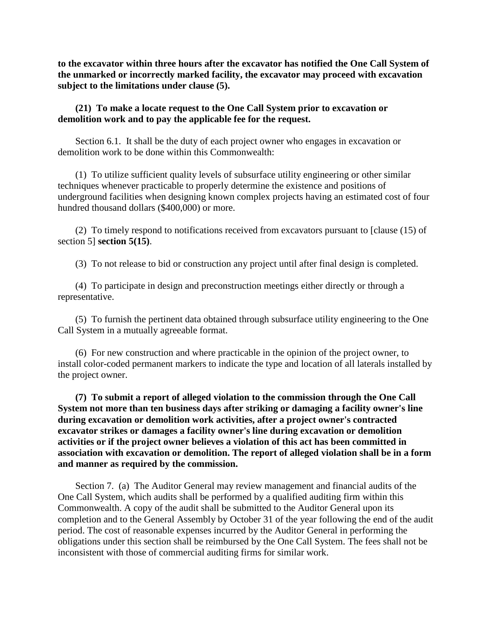**to the excavator within three hours after the excavator has notified the One Call System of the unmarked or incorrectly marked facility, the excavator may proceed with excavation subject to the limitations under clause (5).** 

**(21) To make a locate request to the One Call System prior to excavation or demolition work and to pay the applicable fee for the request.** 

Section 6.1. It shall be the duty of each project owner who engages in excavation or demolition work to be done within this Commonwealth:

(1) To utilize sufficient quality levels of subsurface utility engineering or other similar techniques whenever practicable to properly determine the existence and positions of underground facilities when designing known complex projects having an estimated cost of four hundred thousand dollars (\$400,000) or more.

(2) To timely respond to notifications received from excavators pursuant to [clause (15) of section 5] **section 5(15)**.

(3) To not release to bid or construction any project until after final design is completed.

(4) To participate in design and preconstruction meetings either directly or through a representative.

(5) To furnish the pertinent data obtained through subsurface utility engineering to the One Call System in a mutually agreeable format.

(6) For new construction and where practicable in the opinion of the project owner, to install color-coded permanent markers to indicate the type and location of all laterals installed by the project owner.

**(7) To submit a report of alleged violation to the commission through the One Call System not more than ten business days after striking or damaging a facility owner's line during excavation or demolition work activities, after a project owner's contracted excavator strikes or damages a facility owner's line during excavation or demolition activities or if the project owner believes a violation of this act has been committed in association with excavation or demolition. The report of alleged violation shall be in a form and manner as required by the commission.** 

Section 7. (a) The Auditor General may review management and financial audits of the One Call System, which audits shall be performed by a qualified auditing firm within this Commonwealth. A copy of the audit shall be submitted to the Auditor General upon its completion and to the General Assembly by October 31 of the year following the end of the audit period. The cost of reasonable expenses incurred by the Auditor General in performing the obligations under this section shall be reimbursed by the One Call System. The fees shall not be inconsistent with those of commercial auditing firms for similar work.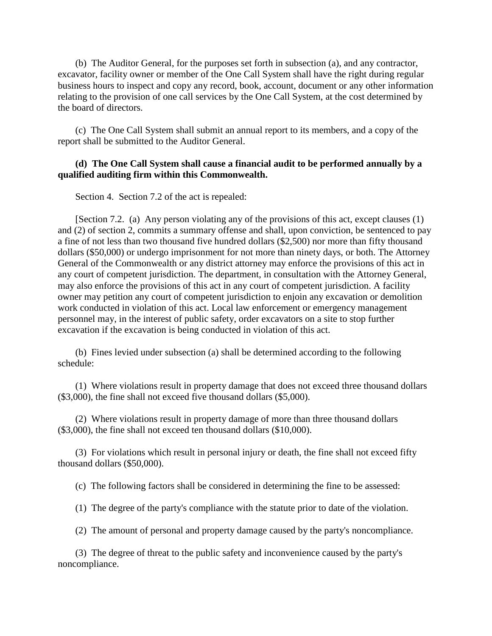(b) The Auditor General, for the purposes set forth in subsection (a), and any contractor, excavator, facility owner or member of the One Call System shall have the right during regular business hours to inspect and copy any record, book, account, document or any other information relating to the provision of one call services by the One Call System, at the cost determined by the board of directors.

(c) The One Call System shall submit an annual report to its members, and a copy of the report shall be submitted to the Auditor General.

#### **(d) The One Call System shall cause a financial audit to be performed annually by a qualified auditing firm within this Commonwealth.**

Section 4. Section 7.2 of the act is repealed:

[Section 7.2. (a) Any person violating any of the provisions of this act, except clauses (1) and (2) of section 2, commits a summary offense and shall, upon conviction, be sentenced to pay a fine of not less than two thousand five hundred dollars (\$2,500) nor more than fifty thousand dollars (\$50,000) or undergo imprisonment for not more than ninety days, or both. The Attorney General of the Commonwealth or any district attorney may enforce the provisions of this act in any court of competent jurisdiction. The department, in consultation with the Attorney General, may also enforce the provisions of this act in any court of competent jurisdiction. A facility owner may petition any court of competent jurisdiction to enjoin any excavation or demolition work conducted in violation of this act. Local law enforcement or emergency management personnel may, in the interest of public safety, order excavators on a site to stop further excavation if the excavation is being conducted in violation of this act.

(b) Fines levied under subsection (a) shall be determined according to the following schedule:

(1) Where violations result in property damage that does not exceed three thousand dollars (\$3,000), the fine shall not exceed five thousand dollars (\$5,000).

(2) Where violations result in property damage of more than three thousand dollars (\$3,000), the fine shall not exceed ten thousand dollars (\$10,000).

(3) For violations which result in personal injury or death, the fine shall not exceed fifty thousand dollars (\$50,000).

(c) The following factors shall be considered in determining the fine to be assessed:

(1) The degree of the party's compliance with the statute prior to date of the violation.

(2) The amount of personal and property damage caused by the party's noncompliance.

(3) The degree of threat to the public safety and inconvenience caused by the party's noncompliance.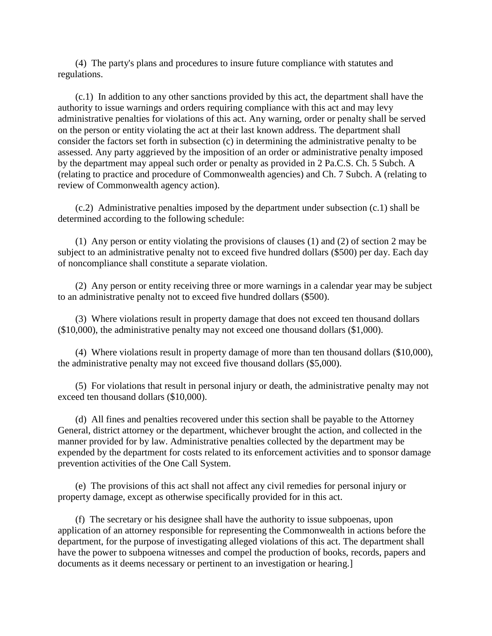(4) The party's plans and procedures to insure future compliance with statutes and regulations.

(c.1) In addition to any other sanctions provided by this act, the department shall have the authority to issue warnings and orders requiring compliance with this act and may levy administrative penalties for violations of this act. Any warning, order or penalty shall be served on the person or entity violating the act at their last known address. The department shall consider the factors set forth in subsection (c) in determining the administrative penalty to be assessed. Any party aggrieved by the imposition of an order or administrative penalty imposed by the department may appeal such order or penalty as provided in 2 Pa.C.S. Ch. 5 Subch. A (relating to practice and procedure of Commonwealth agencies) and Ch. 7 Subch. A (relating to review of Commonwealth agency action).

(c.2) Administrative penalties imposed by the department under subsection (c.1) shall be determined according to the following schedule:

(1) Any person or entity violating the provisions of clauses (1) and (2) of section 2 may be subject to an administrative penalty not to exceed five hundred dollars (\$500) per day. Each day of noncompliance shall constitute a separate violation.

(2) Any person or entity receiving three or more warnings in a calendar year may be subject to an administrative penalty not to exceed five hundred dollars (\$500).

(3) Where violations result in property damage that does not exceed ten thousand dollars (\$10,000), the administrative penalty may not exceed one thousand dollars (\$1,000).

(4) Where violations result in property damage of more than ten thousand dollars (\$10,000), the administrative penalty may not exceed five thousand dollars (\$5,000).

(5) For violations that result in personal injury or death, the administrative penalty may not exceed ten thousand dollars (\$10,000).

(d) All fines and penalties recovered under this section shall be payable to the Attorney General, district attorney or the department, whichever brought the action, and collected in the manner provided for by law. Administrative penalties collected by the department may be expended by the department for costs related to its enforcement activities and to sponsor damage prevention activities of the One Call System.

(e) The provisions of this act shall not affect any civil remedies for personal injury or property damage, except as otherwise specifically provided for in this act.

(f) The secretary or his designee shall have the authority to issue subpoenas, upon application of an attorney responsible for representing the Commonwealth in actions before the department, for the purpose of investigating alleged violations of this act. The department shall have the power to subpoena witnesses and compel the production of books, records, papers and documents as it deems necessary or pertinent to an investigation or hearing.]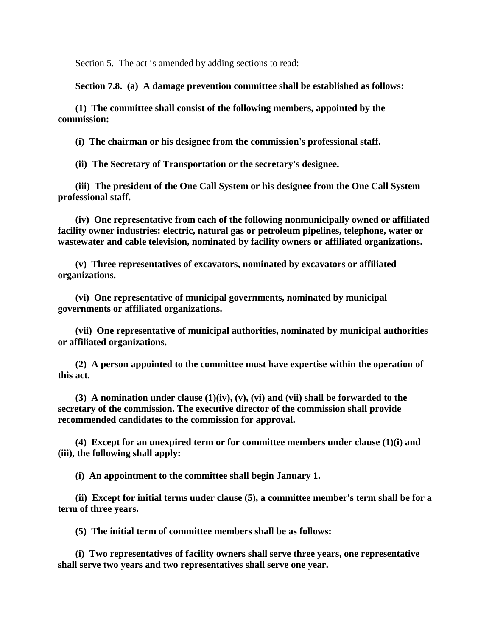Section 5. The act is amended by adding sections to read:

**Section 7.8. (a) A damage prevention committee shall be established as follows:**

**(1) The committee shall consist of the following members, appointed by the commission:**

**(i) The chairman or his designee from the commission's professional staff.**

**(ii) The Secretary of Transportation or the secretary's designee.**

**(iii) The president of the One Call System or his designee from the One Call System professional staff.** 

**(iv) One representative from each of the following nonmunicipally owned or affiliated facility owner industries: electric, natural gas or petroleum pipelines, telephone, water or wastewater and cable television, nominated by facility owners or affiliated organizations.** 

**(v) Three representatives of excavators, nominated by excavators or affiliated organizations.**

**(vi) One representative of municipal governments, nominated by municipal governments or affiliated organizations.** 

**(vii) One representative of municipal authorities, nominated by municipal authorities or affiliated organizations.** 

**(2) A person appointed to the committee must have expertise within the operation of this act.** 

**(3) A nomination under clause (1)(iv), (v), (vi) and (vii) shall be forwarded to the secretary of the commission. The executive director of the commission shall provide recommended candidates to the commission for approval.** 

**(4) Except for an unexpired term or for committee members under clause (1)(i) and (iii), the following shall apply:** 

**(i) An appointment to the committee shall begin January 1.**

**(ii) Except for initial terms under clause (5), a committee member's term shall be for a term of three years.** 

**(5) The initial term of committee members shall be as follows:**

**(i) Two representatives of facility owners shall serve three years, one representative shall serve two years and two representatives shall serve one year.**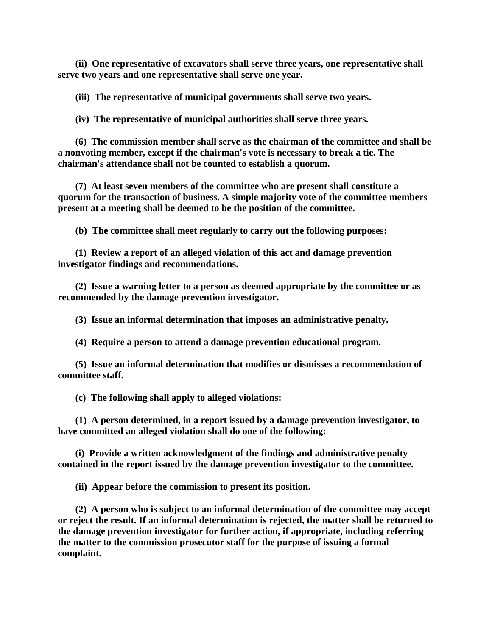**(ii) One representative of excavators shall serve three years, one representative shall serve two years and one representative shall serve one year.** 

**(iii) The representative of municipal governments shall serve two years.**

**(iv) The representative of municipal authorities shall serve three years.**

**(6) The commission member shall serve as the chairman of the committee and shall be a nonvoting member, except if the chairman's vote is necessary to break a tie. The chairman's attendance shall not be counted to establish a quorum.** 

**(7) At least seven members of the committee who are present shall constitute a quorum for the transaction of business. A simple majority vote of the committee members present at a meeting shall be deemed to be the position of the committee.** 

**(b) The committee shall meet regularly to carry out the following purposes:**

**(1) Review a report of an alleged violation of this act and damage prevention investigator findings and recommendations.** 

**(2) Issue a warning letter to a person as deemed appropriate by the committee or as recommended by the damage prevention investigator.** 

**(3) Issue an informal determination that imposes an administrative penalty.**

**(4) Require a person to attend a damage prevention educational program.**

**(5) Issue an informal determination that modifies or dismisses a recommendation of committee staff.** 

**(c) The following shall apply to alleged violations:**

**(1) A person determined, in a report issued by a damage prevention investigator, to have committed an alleged violation shall do one of the following:** 

**(i) Provide a written acknowledgment of the findings and administrative penalty contained in the report issued by the damage prevention investigator to the committee.** 

**(ii) Appear before the commission to present its position.**

**(2) A person who is subject to an informal determination of the committee may accept or reject the result. If an informal determination is rejected, the matter shall be returned to the damage prevention investigator for further action, if appropriate, including referring the matter to the commission prosecutor staff for the purpose of issuing a formal complaint.**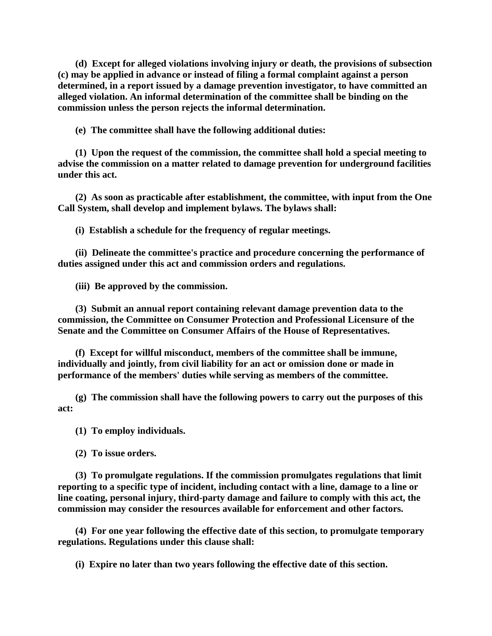**(d) Except for alleged violations involving injury or death, the provisions of subsection (c) may be applied in advance or instead of filing a formal complaint against a person determined, in a report issued by a damage prevention investigator, to have committed an alleged violation. An informal determination of the committee shall be binding on the commission unless the person rejects the informal determination.** 

**(e) The committee shall have the following additional duties:**

**(1) Upon the request of the commission, the committee shall hold a special meeting to advise the commission on a matter related to damage prevention for underground facilities under this act.** 

**(2) As soon as practicable after establishment, the committee, with input from the One Call System, shall develop and implement bylaws. The bylaws shall:** 

**(i) Establish a schedule for the frequency of regular meetings.**

**(ii) Delineate the committee's practice and procedure concerning the performance of duties assigned under this act and commission orders and regulations.** 

**(iii) Be approved by the commission.**

**(3) Submit an annual report containing relevant damage prevention data to the commission, the Committee on Consumer Protection and Professional Licensure of the Senate and the Committee on Consumer Affairs of the House of Representatives.** 

**(f) Except for willful misconduct, members of the committee shall be immune, individually and jointly, from civil liability for an act or omission done or made in performance of the members' duties while serving as members of the committee.** 

**(g) The commission shall have the following powers to carry out the purposes of this act:**

**(1) To employ individuals.**

**(2) To issue orders.**

**(3) To promulgate regulations. If the commission promulgates regulations that limit reporting to a specific type of incident, including contact with a line, damage to a line or line coating, personal injury, third-party damage and failure to comply with this act, the commission may consider the resources available for enforcement and other factors.** 

**(4) For one year following the effective date of this section, to promulgate temporary regulations. Regulations under this clause shall:** 

**(i) Expire no later than two years following the effective date of this section.**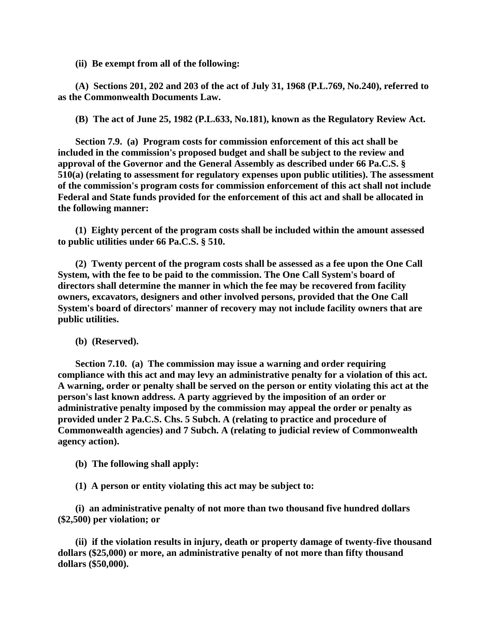**(ii) Be exempt from all of the following:**

**(A) Sections 201, 202 and 203 of the act of July 31, 1968 (P.L.769, No.240), referred to as the Commonwealth Documents Law.** 

**(B) The act of June 25, 1982 (P.L.633, No.181), known as the Regulatory Review Act.**

**Section 7.9. (a) Program costs for commission enforcement of this act shall be included in the commission's proposed budget and shall be subject to the review and approval of the Governor and the General Assembly as described under 66 Pa.C.S. § 510(a) (relating to assessment for regulatory expenses upon public utilities). The assessment of the commission's program costs for commission enforcement of this act shall not include Federal and State funds provided for the enforcement of this act and shall be allocated in the following manner:** 

**(1) Eighty percent of the program costs shall be included within the amount assessed to public utilities under 66 Pa.C.S. § 510.** 

**(2) Twenty percent of the program costs shall be assessed as a fee upon the One Call System, with the fee to be paid to the commission. The One Call System's board of directors shall determine the manner in which the fee may be recovered from facility owners, excavators, designers and other involved persons, provided that the One Call System's board of directors' manner of recovery may not include facility owners that are public utilities.** 

**(b) (Reserved).**

**Section 7.10. (a) The commission may issue a warning and order requiring compliance with this act and may levy an administrative penalty for a violation of this act. A warning, order or penalty shall be served on the person or entity violating this act at the person's last known address. A party aggrieved by the imposition of an order or administrative penalty imposed by the commission may appeal the order or penalty as provided under 2 Pa.C.S. Chs. 5 Subch. A (relating to practice and procedure of Commonwealth agencies) and 7 Subch. A (relating to judicial review of Commonwealth agency action).** 

**(b) The following shall apply:**

**(1) A person or entity violating this act may be subject to:**

**(i) an administrative penalty of not more than two thousand five hundred dollars (\$2,500) per violation; or** 

**(ii) if the violation results in injury, death or property damage of twenty-five thousand dollars (\$25,000) or more, an administrative penalty of not more than fifty thousand dollars (\$50,000).**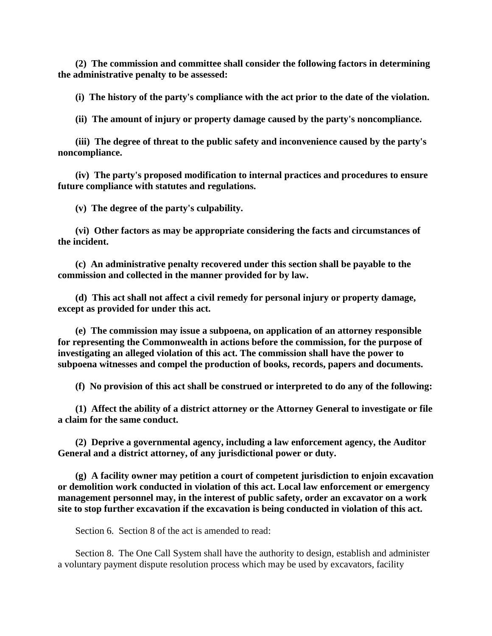**(2) The commission and committee shall consider the following factors in determining the administrative penalty to be assessed:** 

**(i) The history of the party's compliance with the act prior to the date of the violation.**

**(ii) The amount of injury or property damage caused by the party's noncompliance.**

**(iii) The degree of threat to the public safety and inconvenience caused by the party's noncompliance.** 

**(iv) The party's proposed modification to internal practices and procedures to ensure future compliance with statutes and regulations.** 

**(v) The degree of the party's culpability.**

**(vi) Other factors as may be appropriate considering the facts and circumstances of the incident.** 

**(c) An administrative penalty recovered under this section shall be payable to the commission and collected in the manner provided for by law.** 

**(d) This act shall not affect a civil remedy for personal injury or property damage, except as provided for under this act.** 

**(e) The commission may issue a subpoena, on application of an attorney responsible for representing the Commonwealth in actions before the commission, for the purpose of investigating an alleged violation of this act. The commission shall have the power to subpoena witnesses and compel the production of books, records, papers and documents.** 

**(f) No provision of this act shall be construed or interpreted to do any of the following:**

**(1) Affect the ability of a district attorney or the Attorney General to investigate or file a claim for the same conduct.** 

**(2) Deprive a governmental agency, including a law enforcement agency, the Auditor General and a district attorney, of any jurisdictional power or duty.** 

**(g) A facility owner may petition a court of competent jurisdiction to enjoin excavation or demolition work conducted in violation of this act. Local law enforcement or emergency management personnel may, in the interest of public safety, order an excavator on a work site to stop further excavation if the excavation is being conducted in violation of this act.** 

Section 6. Section 8 of the act is amended to read:

Section 8. The One Call System shall have the authority to design, establish and administer a voluntary payment dispute resolution process which may be used by excavators, facility